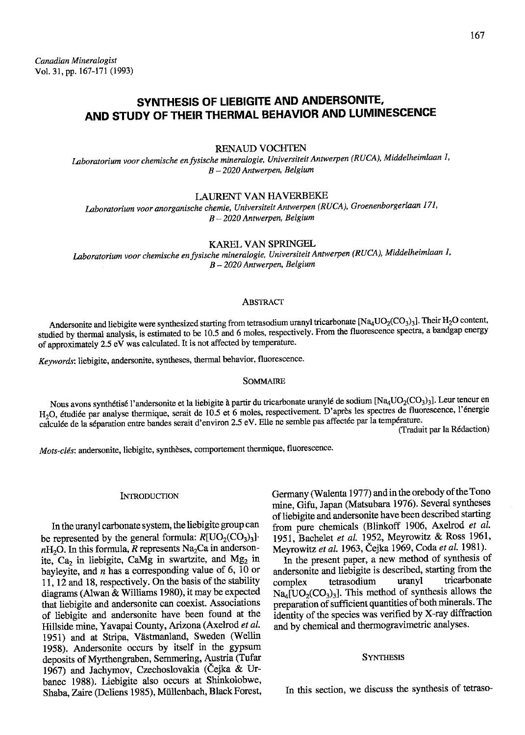# SYNTHESIS OF LIEBIGITE AND ANDERSONITE, AND STUDY OF THEIR THERMAL BEHAVIOR AND LUMINESCENCE

## RENAUD VOCHTEN

Laboratorium voor chemische en fysische mineralogie, Universiteit Antwerpen (RUCA), Middelheimlaan 1,  $B - 2020$  Antwerpen, Belgium

LAURENT VAN HAVERBEKE

Laboratorium voor anorganische chemie, Universiteit Antwerpen (RUCA), Groenenborgerlaan 171,  $B - 2020$  Antwerpen, Belgium

KAREL VAN SPRINGEL

Laboratorium voor chemische en fysische mineralogie, Universiteit Antwerpen (RUCA), Middelheimlaan I,  $B - 2020$  Antwerpen, Belgium

#### **ABSTRACT**

Andersonite and liebigite were synthesized starting from tetrasodium uranyl tricarbonate [Na<sub>4</sub>UO<sub>2</sub>(CO<sub>3</sub>)<sub>3</sub>]. Their H<sub>2</sub>O content, studied by thermal analysis, is estimated to be 10.5 and 6 moles, respectively. From the fluorescence spectra, a bandgap energy of approximately 2.5 eV was calculated. It is not affected by temperature.

Keywords: liebigite, andersonite, syntheses, thermal behavior, fluorescence.

#### SOMMAIRE

Nous avons synthétisé l'andersonite et la liebigite à partir du tricarbonate uranylé de sodium [Na<sub>4</sub>UO<sub>2</sub>(CO<sub>3</sub>)<sub>3</sub>]. Leur teneur en H<sub>2</sub>O, étudiée par analyse thermique, serait de 10.5 et 6 moles, respectivement. D'après les spectres de fluorescence, l'énergie calculée de la séparation entre bandes serait d'environ 2.5 eV. Elle ne semble pas affectée par la température.

(Traduit par la Rédaction)

Mots-clés: andersonite, liebigite, synthèses, comportement thermique, fluorescence.

# **INTRODUCTION**

In the uranyl carbonate system, the liebigite group can be represented by the general formula:  $R[<sub>UO<sub>2</sub>(<sub>CO<sub>3</sub>)<sub>3</sub>]</sub></sub>$ .  $n_{\text{H}_2O}$ . In this formula, R represents Na<sub>2</sub>Ca in andersonite, Ca<sub>2</sub> in liebigite, CaMg in swartzite, and Mg<sub>2</sub> in bayleyite, and  $n$  has a corresponding value of 6, 10 or 11, 12 and 18, respectively. On the basis of the stability diagrams (Alwan & Williams 1980), it may be expected that liebigite and andersonite can coexist. Associations of liebigite and andersonite have been found at the Hillside mine, Yavapai County, Arizona (Axelrod et al. 1951) and at Stripa, Västmanland, Sweden (Wellin 1958). Andersonite occurs by itself in the gypsum deposits of Myrthengraben, Semmering, Austria (Tufar 1967) and Jachymov, Czechoslovakia (Cejka & Urbanec 1988). Liebigite also occurs at Shinkolobwe, Shaba, Zaire (Deliens 1985), Müllenbach, Black Forest, Germany (Walenta 1977) and in the orebody of the Tono mine, Gifu, Japan (Matsubara 1976). Several syntheses of liebigite and andersonite have been described starting from pure chemicals (Blinkoff 1906, Axelrod et al. 1951, Bachelet et al. 1952, Meyrowitz & Ross 1961, Meyrowitz et al. 1963, Čejka 1969, Coda et al. 1981).

In the present paper, a new method of synthesis of andersonite and liebigite is described, starting from the complex tetrasodium uranyl tricarbonate complex tetrasodium uranyl tricarbonate  $Na_4[UO_2(CO_3)_3]$ . This method of synthesis allows the preparation of sufficient quantities of both minerals .The identity of the species was verified by X-ray diffraction and by chemical and thermogravimetric analyses.

## **SYNTHESIS**

In this section, we discuss the synthesis of tetraso-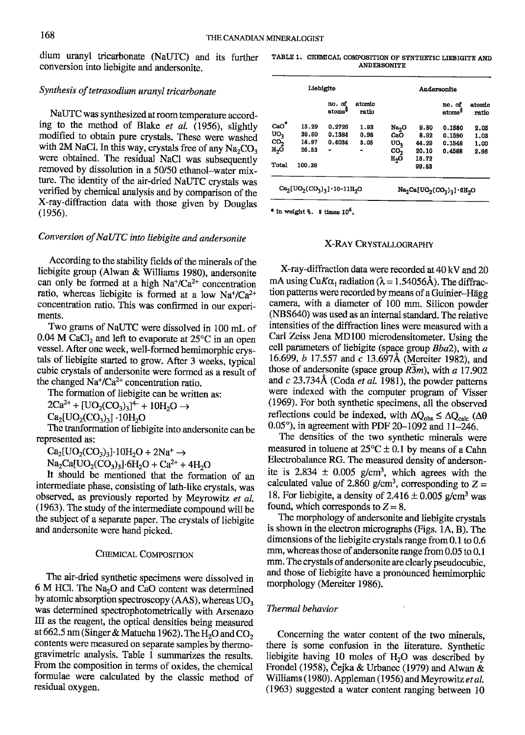dium uranyl tricarbonate (NaUTC) and its further TABLE 1. CHEMICAL COMPOSITION OF SYNTHETIC LIEBIGITE AND CONVERSION THE CHEMICAL CONVERSION THE CHEMICAL CONVERSION THE CHEMICAL CONVERSION THE conversion into liebigite and andersonite.

#### Synthesis of tetrasodium uranyl tricarbonate

NaUTC was synthesized at room temperature according to the method of Blake et al. (1956), slightly modified to obtain pure crystals. These were washed with 2M NaCl. In this way, crystals free of any  $Na<sub>2</sub>CO<sub>3</sub>$ were obtained. The residual NaCl was subsequentlv removed by dissolution in a 50/50 ethanol-water mixture. The identity of the air-dried NaUTC crystals was verified by chemical analysis and by comparison of the X-ray-diffraction data with those given by Douglas (1956).

## Conversion of NaUTC into liebigite and andersonite

According to the stability fields of the minerals of the liebigite group (Alwan & Williams 1980), andersonite can only be formed at a high  $Na^{\dagger}/Ca^{2+}$  concentration ratio, whereas liebigite is formed at a low  $Na^{\dagger}/Ca^{2+}$ concentration ratio. This was confirmed in our experiments.

Two grams of NaUTC were dissolved in 100 mL of 0.04 M CaCl<sub>2</sub> and left to evaporate at  $25^{\circ}$ C in an open vessel. After one week, well-formed hemimorphic crystals of liebigite started to grow. After 3 weeks, typical cubic crystals of andersonite were formed as a result of the changed  $Na^{\dagger}/Ca^{2+}$  concentration ratio.

The formation of liebigite can be written as:

 $2Ca^{2+} + [UO_2(CO_3)_3]^{\text{4}-} + 10H_2O \rightarrow$ 

 $Ca_2[UO_2(CO_3)_3] \cdot 10H_2O$ 

The tranformation of liebigite into andersonite can be represented as:

 $\text{Ca}_2[\text{UO}_2(\text{CO}_3)_3]\cdot 10\text{H}_2\text{O} + 2\text{Na}^+ \rightarrow$ 

 $Na_2Ca[UO_2(CO_3)_3]$  6H<sub>2</sub>O + Ca<sup>2+</sup> + 4H<sub>2</sub>O

It should be mentioned that the formation of an intermediate phase, consisting of lath-like crystals, was observed, as previously reported by Meyrowitz et al. (1963). The study of the intermediate compound will be the subject of a separate paper. The crystals of liebigite and andersonite were hand picked.

#### CHEMICAL COMPOSITION

The air-dried synthetic specimens were dissolved in  $6$  M HCl. The Na<sub>2</sub>O and CaO content was determined by atomic absorption spectroscopy (AAS), whereas  $UO<sub>3</sub>$ was determined spectrophotometrically with Arsenazo III as the reagent, the optical densities being measured at 662.5 nm (Singer & Matucha 1962). The  $H_2O$  and  $CO_2$ contents were measured on separate samples by thermogravimetric analysis. Table I summarizes the results. From the composition in terms of oxides, the chemical formulae were calculated by the classic method of residual oxygen.

|                                        | Liebigite |                              |                                    | Andersonite            |                |                              |                 |
|----------------------------------------|-----------|------------------------------|------------------------------------|------------------------|----------------|------------------------------|-----------------|
|                                        |           | no. of<br>atoms <sup>9</sup> | atomic<br>ratio                    |                        |                | no. of<br>atoms <sup>9</sup> | atomic<br>ratio |
| CaO <sup>7</sup>                       | 15.29     | 0.2726                       | 1.93                               | Na <sub>2</sub> O      | 9.80           | 0.1580                       | 2.05            |
| υo,                                    | 39.60     | 0.1384                       | 0.98                               | CaO                    | 8.92           | 0.1590                       | 1.03            |
| co,                                    | 18.97     | 0.4034                       | 3.05                               | UO <sub>3</sub>        | 44.29          | 0.1548                       | 1.00            |
| H,Ō                                    | 26.53     |                              |                                    | CO <sub>2</sub><br>H,Ō | 20.10<br>16.72 | 0.4568                       | 2.96            |
| Total                                  | 100.39    |                              |                                    |                        | 99.83          |                              |                 |
| $Ca_2[UO_2(CO_3)_3] \cdot 10 - 11H_2O$ |           |                              | $Na_2Ca[VO_2(CO_3)_3] \cdot 6H_2O$ |                        |                |                              |                 |

\* in weight  $\text{\$}$ .  $\text{\$}$  times  $10^4$ .

## X-Rav CRYSTAIOGRAPHY

X-ray-diffraction data were recorded at 40 kV and 20 mA using CuK $\alpha_1$  radiation ( $\lambda = 1.54056\text{\AA}$ ). The diffraction patterns were recorded by means of a Guinier-Hägg camera, with a diameter of 100 mm. Silicon powder (NBS640) was used as an intemal standard. The relative intensities of the diffraction lines were measured witl a Carl Zeiss Jena MDl00 microdensitometer. Usine the cell parameters of liebigite (space group  $Bba2$ ), with  $a$ 16.699, *b* 17.557 and *c* 13.697Å (Mereiter 1982), and those of andersonite (space group  $R3m$ ), with a 17.902 and  $c$  23.734Å (Coda et al. 1981), the powder patterns were indexed with the computer program of Visser (1969). For both synthetic specimens, all the observed reflections could be indexed, with  $\Delta Q_{obs} \leq \Delta Q_{calc}$  ( $\Delta \theta$ ) 0.05°), in agreement with PDF 20-1092 and 11-246.

The densities of the two synthetic minerals were measured in toluene at  $25^{\circ}C \pm 0.1$  by means of a Cahn Electrobalance RG. The measured density of andersonite is 2.834  $\pm$  0.005 g/cm<sup>3</sup>, which agrees with the calculated value of 2.860 g/cm<sup>3</sup>, corresponding to  $Z =$ 18. For liebigite, a density of  $2.416 \pm 0.005$  g/cm<sup>3</sup> was found, which corresponds to  $Z=8$ .

The morphology of andersonite and liebigite crystals is shown in the electron micrographs (Figs.  $1A$ , B). The dimensions of the liebigite crystals range from 0.1 to 0.6 mm, whereas those of andersonite range from  $0.05$  to  $0.1$ mm. The crystals of andersonite are clearly pseudocubic, and those of liebigite have a pronounced hemimorphic morphology (Mereiter 1986).

## Thermal behavior

Concerning the water content of the two minerals, there is some confusion in the literature. Synthetic liebigite having  $10$  moles of  $H<sub>2</sub>O$  was described by Frondel (1958), Čejka & Urbanec (1979) and Alwan  $\alpha$ Williams (1980). Appleman (1956) and Meyrowitz et al. (1963) suggested awater content ranging berween 10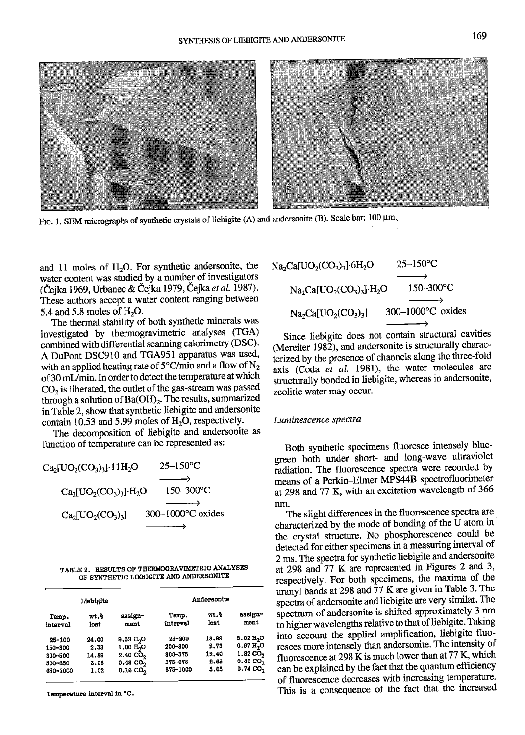

FIG. 1. SEM micrographs of synthetic crystals of liebigite (A) and andersonite (B). Scale bar: 100  $\mu$ m.

and 11 moles of  $H<sub>2</sub>O$ . For synthetic andersonite, the water content was studied by a number of investigators (Čejka 1969, Urbanec & Čejka 1979, Čejka et al. 1987). These authors accept a water content ranging between 5.4 and 5.8 moles of  $H<sub>2</sub>O$ .

The thermal stability of both synthetic minerals was investigated by thermogravimetric analyses (TGA) combined with differential scanning calorimery (DSC). A DuPont DSC9IO and TGA95I apparatus was used, with an applied heating rate of  $5^{\circ}$ C/min and a flow of N<sub>2</sub> of 30 mL/min. In order to detect the temperature at which  $CO<sub>2</sub>$  is liberated, the outlet of the gas-stream was passed through a solution of  $Ba(OH)_2$ . The results, summarized in Table 2, show that synthetic liebigite and andersonite contain 10.53 and 5.99 moles of  $H_2O$ , respectively.

The decomposition of liebigite and andersonite as function of temperature can be represented as:

$$
Ca_{2}[UO_{2}(CO_{3})_{3}]\cdot11H_{2}O \longrightarrow
$$
\n
$$
Ca_{2}[UO_{2}(CO_{3})_{3}]\cdot H_{2}O \longrightarrow
$$
\n
$$
Ca_{2}[UO_{2}(CO_{3})_{3}] \longrightarrow
$$
\n
$$
Ca_{2}[UO_{2}(CO_{3})_{3}] \longrightarrow
$$
\n
$$
300-1000°C
$$
\n
$$
O
$$

TABLE 2. RESULTS OF THERMOGRAVIMETRIC ANALYSES OF SYNTHETIC LIEBIGITE AND ANDERSONITE

|            | Liebigite |                       |             | Andersonite |                       |
|------------|-----------|-----------------------|-------------|-------------|-----------------------|
| Temp.      | wt.%      | assign-               | Temp.       | wt.%        | assign-               |
| interval   | lost      | ment                  | interval    | lost        | ment                  |
| $25 - 100$ | 24.00     | 9.53 H <sub>2</sub> O | $25 - 200$  | 13.99       | 5.02 H <sub>2</sub> O |
| 150-300    | 2.53      | 1.00 H <sub>2</sub> O | 200-300     | 2.73        | 0.97 H <sub>2</sub> O |
| 300-500    | 14.89     | 2.40C <sub>2</sub>    | $300 - 575$ | 12.40       | $1.82 \text{ CO}_2$   |
| 500-650    | 3.06      | 0.49C0,               | 575-675     | 2.65        | $0.40 \text{ CO}_2$   |
| 650-1000   | 1.02      | 0.16CO <sub>2</sub>   | 675-1000    | 5.05        | 0.74C0,               |

Temperature interval in °C.

| $Na2Ca[UO2(CO3)3]\cdot 6H2O$ | $25 - 150$ °C        |  |
|------------------------------|----------------------|--|
|                              |                      |  |
| $Na2Ca[UO2(CO3)3]+H2O$       | $150 - 300$ °C       |  |
|                              |                      |  |
| $Na2Ca[UO2(CO3)3]$           | $300-1000$ °C oxides |  |
|                              |                      |  |

Since liebigite does not contain structural cavities (Mereiter 1982), and andersonite is structurally characierized by the presence of channels along the three-fold axis (Coda  $et$  al. 1981), the water molecules are structurally bonded in liebigite, whereas in andersonite, zeolitic water may occur.

#### Luminescence spectra

Both synthetic specimens fluoresce intensely bluegreen both under short- and long-wave ultraviolet radiation. The fluorescence spectra were recorded by means of a Perkin-Elmer MPS44B spectrofluorimeter at 298 and 77 K, with an excitation wavelength of 366 nm.

The slight differences in the fluorescence spectra are characterized by the mode of bonding of the  $\bar{U}$  atom in the crystal structure. No phosphorescence could be detected for either specimens in a measuring interval of 2 ms. The spectra for synthetic liebigite and andersonite at 298 and 77 K are represented in Figures 2 and 3, respectively. For both specimens, the maxima of the uranyl bands at 298 and 77 K are given in Table 3. The spectra of andersonite and liebigite are very similar. The spectrum of andersonite is shifted approximately 3 nm to higher wavelengths relative to that of liebigite. Taking into account the applied amplification, liebigite fluoresces more intensety than andersonite. The intensity of fluorescence at 298 K is much lower than at 77 K, which can be explained by the fact that the quantum efficiency of fluorescence decreases with increasing temperature. This is a consequence of the fact that the increased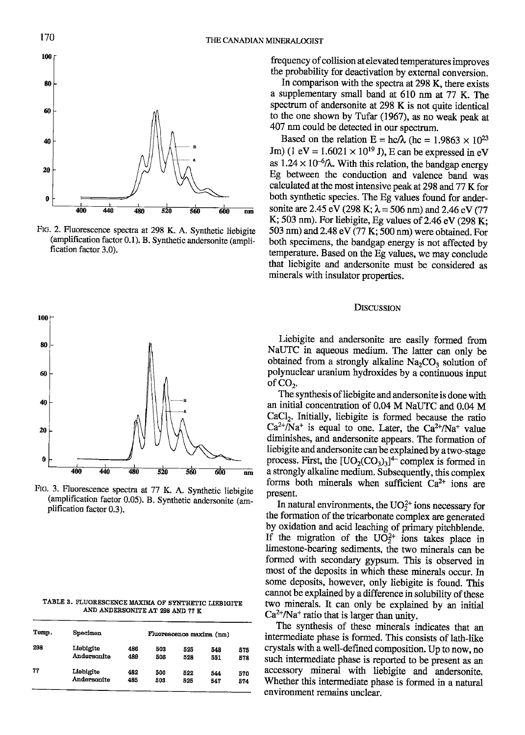

FIc. 2. Fluorescence specrra at 298 K. A. Synthetic liebigite (amplification factor 0.1). B. Synthetic andersonite (amplification factor 3.0).



Ftc. 3. Fluorescence spectra at 77 K. A. Synthetic liebigite (amplification factor 0.05). B. Synthetic andenonite (am\_ plification factor 0.3).

TABLE 3. FLUORESCENCE MAXIMA OF SYNTHETIC LIEBIGITE AND ANDERSONITE AT 298 AND 7? K

| Temp. | Specimen    |     | Fluorescence maxima (nm) |     |     |     |  |
|-------|-------------|-----|--------------------------|-----|-----|-----|--|
| 298   | Liebigite   | 486 | 503                      | 525 | 548 | 575 |  |
|       | Andersonite | 489 | 508                      | 528 | 551 | 578 |  |
| 77    | Liebigite   | 482 | 500                      | 522 | 544 | 570 |  |
|       | Andersonite | 485 | 503                      | 525 | 547 | 574 |  |

frequency of collision atelevated temperatures improves the probability for deactivation by external conversion.

In comparison with the spectra at 298 K, there exists a supplementary small band at 610 nm at 77 K. The spectrum of andersonite at 298 K is not quite identical to the one shown by Tufar (1967), as no weak peak at 407 nm could be detected in our spectrum.

Based on the relation  $E = hc/\lambda$  (hc = 1.9863  $\times 10^{23}$ ) Jm) (1 eV =  $1.6021 \times 10^{19}$  J), E can be expressed in eV as  $1.24 \times 10^{-6}$ / $\lambda$ . With this relation, the bandgap energy Eg between the conduction and valence band was calculated at the most intensive peak at 298 and 77 K for both synthetic species. The Eg values found for andersonite are 2.45 eV (298 K;  $\lambda$  = 506 nm) and 2.46 eV (77 K; 503 nm). For liebigite, Eg values of 2.46 eV (298 K; 503 nm) and 2.48 eV (77 K; 500 nm) were obtained. For both specimens, the bandgap energy is not affected by temperature. Based on the Eg values, we may conclude that liebigite and andersonite must be considered as minerals with insulator properties.

#### **DISCUSSION**

Liebigite and andersonite are easily formed from NaUTC in aqueous medium. The latter can only be obtained from a strongly alkaline  $Na<sub>2</sub>CO<sub>3</sub>$  solution of polynuclear uranium hydroxides by a continuous input of  $CO<sub>2</sub>$ .

The synthesis of liebigite and andersonite is done with an initial concentration of 0.04 M NaUTC and 0.04 M CaCl<sub>2</sub>. Initially, liebigite is formed because the ratio  $Ca^{2+}/Na^{+}$  is equal to one. Later, the  $Ca^{2+}/Na^{+}$  value diminishes, and andersonite appears. The formation of liebigite and andersonite can be explained by a two-stage process. First, the  $[UO_2(CO_3)_3]^{\text{+}}$  complex is formed in a strongly alkaline medium. Subsequently, this complex forms both minerals when sufficient  $Ca^{2+}$  ions are present.

In natural environments, the  $UO<sub>2</sub><sup>2+</sup>$  ions necessary for the formation of the tricarbonate complex are generated by oxidation and acid leaching of primary pitchblende. If the migration of the  $UO_2^{2+}$  ions takes place in limestone-bearing sediments, the two minerals can be formed with secondary gypsum. This is observed in most of the deposits in which these minerals occur. In some deposits, however, only liebigite is found. This cannot be explained by a difference in solubility of these two minerals. It can only be explained by an initial  $Ca<sup>2+</sup>/Na<sup>+</sup>$  ratio that is larger than unity.

The synthesis of these minerals indicates that an intermediate phase is formed. This consists of lath-like crystals with a well-defined composition. Up to now, no such intermediate phase is reported to be present as an accessory mineral with liebigite and andersonite. Whether this intermediate phase is formed in a natural environment remains unclear.